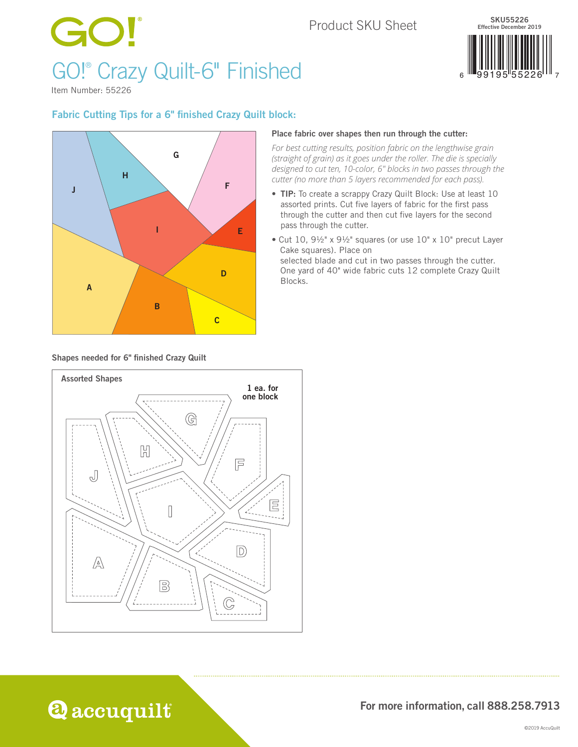# Product SKU SheetGO! GO!® Crazy Quilt-6" Finished



Item Number: 55226

## Fabric Cutting Tips for a 6" finished Crazy Quilt block:



#### Place fabric over shapes then run through the cutter:

*For best cutting results, position fabric on the lengthwise grain (straight of grain) as it goes under the roller. The die is specially designed to cut ten, 10-color, 6" blocks in two passes through the cutter (no more than 5 layers recommended for each pass).* 

- TIP: To create a scrappy Crazy Quilt Block: Use at least 10 assorted prints. Cut five layers of fabric for the first pass through the cutter and then cut five layers for the second pass through the cutter.
- Cut 10, 9½" x 9½" squares (or use 10" x 10" precut Layer Cake squares). Place on selected blade and cut in two passes through the cutter. One yard of 40" wide fabric cuts 12 complete Crazy Quilt

Blocks.

Shapes needed for 6" finished Crazy Quilt



For more information, call 888.258.7913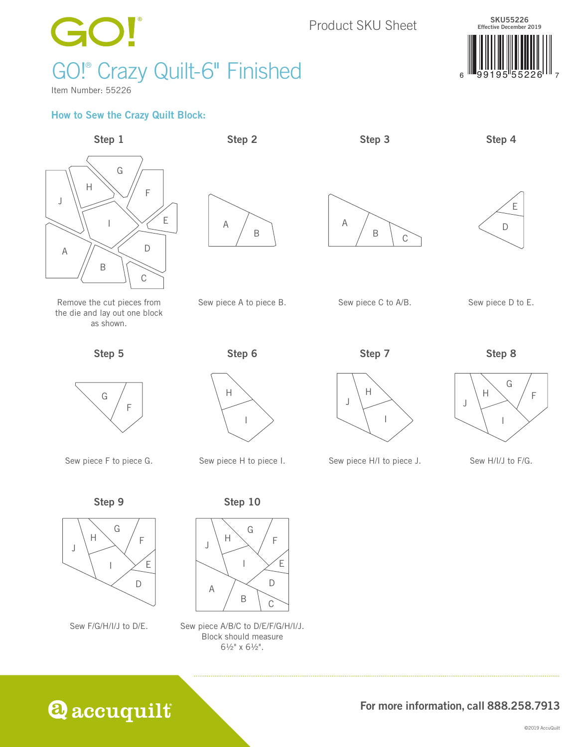

Sew F/G/H/I/J to D/E.

I



Sew piece A/B/C to D/E/F/G/H/I/J. Block should measure 6½" x 6½".



D

E

For more information, call 888.258.7913